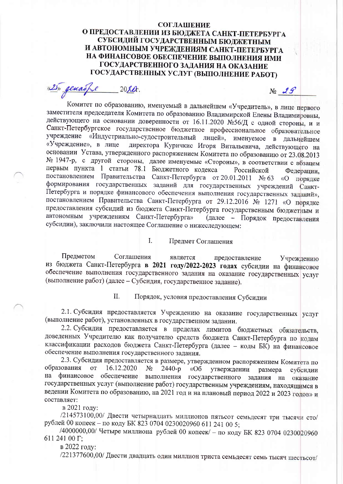## **СОГЛАШЕНИЕ** О ПРЕДОСТАВЛЕНИИ ИЗ БЮДЖЕТА САНКТ-ПЕТЕРБУРГА СУБСИДИЙ ГОСУДАРСТВЕННЫМ БЮДЖЕТНЫМ И АВТОНОМНЫМ УЧРЕЖДЕНИЯМ САНКТ-ПЕТЕРБУРГА НА ФИНАНСОВОЕ ОБЕСПЕЧЕНИЕ ВЫПОЛНЕНИЯ ИМИ ГОСУДАРСТВЕННОГО ЗАДАНИЯ НА ОКАЗАНИЕ ГОСУДАРСТВЕННЫХ УСЛУГ (ВЫПОЛНЕНИЕ РАБОТ)

 $N_2$  29

(2) genaspe  $20$  her.

Комитет по образованию, именуемый в дальнейшем «Учредитель», в лице первого заместителя председателя Комитета по образованию Владимирской Елены Владимировны, действующего на основании доверенности от 16.11.2020 №56/Д с одной стороны, и и Санкт-Петербургское государственное бюджетное профессиональное образовательное учреждение «Индустриально-судостроительный лицей», именуемое в дальнейшем директора Куричкис Игоря Витальевича, действующего на «Учреждение», в лице основании Устава, утвержденного распоряжением Комитета по образованию от 23.08.2013 № 1947-р, с другой стороны, далее именуемые «Стороны», в соответствии с абзацем первым пункта 1 статьи 78.1 Бюджетного кодекса Российской Федерации. постановлением Правительства Санкт-Петербурга от 20.01.2011 № 63 «О порядке формирования государственных заданий для государственных учреждений Санкт-Петербурга и порядке финансового обеспечения выполнения государственных заданий», постановлением Правительства Санкт-Петербурга от 29.12.2016 № 1271 «О порядке предоставления субсидий из бюджета Санкт-Петербурга государственным бюджетным и автономным учреждениям Санкт-Петербурга» (далее - Порядок предоставления субсидии), заключили настоящее Соглашение о нижеследующем:

> $\mathbf{I}$ . Предмет Соглашения

Предметом Соглашения является предоставление Учреждению из бюджета Санкт-Петербурга в 2021 году/2022-2023 годах субсидии на финансовое обеспечение выполнения государственного задания на оказание государственных услуг (выполнение работ) (далее - Субсидия, государственное задание).

> II. Порядок, условия предоставления Субсидии

2.1. Субсидия предоставляется Учреждению на оказание государственных услуг (выполнение работ), установленных в государственном задании.

2.2. Субсидия предоставляется в пределах лимитов бюджетных обязательств, доведенных Учредителю как получателю средств бюджета Санкт-Петербурга по кодам классификации расходов бюджета Санкт-Петербурга (далее - коды БК) на финансовое обеспечение выполнения государственного задания.

2.3. Субсидия предоставляется в размере, утвержденном распоряжением Комитета по образования  $O<sub>T</sub>$ 16.12.2020  $N_2$  $2440-p$  $\langle \langle$  O<sub>6</sub> утверждении размера субсидии финансовое обеспечение выполнения государственного задания на оказание на государственных услуг (выполнение работ) государственным учреждениям, находящимся в ведении Комитета по образованию, на 2021 год и на плановый период 2022 и 2023 годов» и составляет:

в 2021 году:

/214573100,00/ Двести четырнадцать миллионов пятьсот семьдесят три тысячи сто/ рублей 00 копеек - по коду БК 823 0704 0230020960 611 241 00 5;

/4000000,00/ Четыре миллиона рублей 00 копеек/ - по коду БК 823 0704 0230020960 611 241 00 Г;

в 2022 году:

/221377600,00/ Двести двадцать один миллион триста семьдесят семь тысяч шестьсот/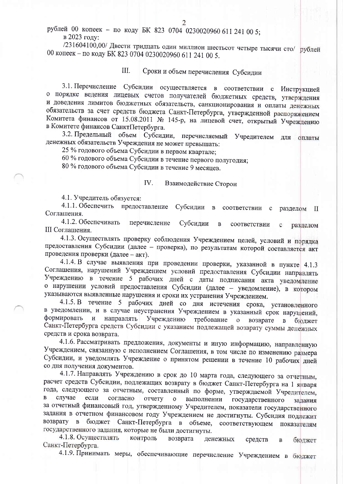рублей 00 копеек - по коду БК 823 0704 0230020960 611 241 00 5; в 2023 году:

/231604100,00/ Двести тридцать один миллион шестьсот четыре тысячи сто/ рублей 00 копеек - по коду БК 823 0704 0230020960 611 241 00 5.

## III. Сроки и объем перечисления Субсидии

3.1. Перечисление Субсидии осуществляется в соответствии с Инструкцией о порядке ведения лицевых счетов получателей бюджетных средств, утверждения и доведения лимитов бюджетных обязательств, санкционирования и оплаты денежных обязательств за счет средств бюджета Санкт-Петербурга, утвержденной распоряжением Комитета финансов от 15.08.2011 № 145-р, на лицевой счет, открытый Учреждению в Комитете финансов СанктПетербурга.

3.2. Предельный объем Субсидии, перечисляемый Учредителем для оплаты денежных обязательств Учреждения не может превышать:

25 % годового объема Субсидии в первом квартале;

60 % годового объема Субсидии в течение первого полугодия;

80 % годового объема Субсидии в течение 9 месяцев.

## IV. Взаимодействие Сторон

4.1. Учредитель обязуется:

4.1.1. Обеспечить предоставление Субсидии в соответствии разделом  $\mathbf{c}$  $_{\rm II}$ Соглашения.

4.1.2. Обеспечивать перечисление Субсидии  $\, {\bf B}$ соответствии  $\mathbf c$ разделом III Соглашения.

4.1.3. Осуществлять проверку соблюдения Учреждением целей, условий и порядка предоставления Субсидии (далее - проверка), по результатам которой составляется акт проведения проверки (далее - акт).

4.1.4. В случае выявления при проведении проверки, указанной в пункте 4.1.3 Соглашения, нарушений Учреждением условий предоставления Субсидии направлять Учреждению в течение 5 рабочих дней с даты подписания акта уведомление о нарушении условий предоставления Субсидии (далее - уведомление), в котором указываются выявленные нарушения и сроки их устранения Учреждением.

4.1.5. В течение 5 рабочих дней со дня истечения срока, установленного в уведомлении, и в случае неустранения Учреждением в указанный срок нарушений, формировать направлять Учреждению  $\mathbf{H}$ требование  $\overline{O}$ возврате  $\mathbf{B}$ бюджет Санкт-Петербурга средств Субсидии с указанием подлежащей возврату суммы денежных средств и срока возврата.

4.1.6. Рассматривать предложения, документы и иную информацию, направленную Учреждением, связанную с исполнением Соглашения, в том числе по изменению размера Субсидии, и уведомлять Учреждение о принятом решении в течение 10 рабочих дней со дня получения документов.

4.1.7. Направлять Учреждению в срок до 10 марта года, следующего за отчетным, расчет средств Субсидии, подлежащих возврату в бюджет Санкт-Петербурга на 1 января года, следующего за отчетным, составленный по форме, утверждаемой Учредителем, случае  $\, {\bf B}$ если согласно отчету  $\overline{O}$ выполнении государственного задания за отчетный финансовый год, утвержденному Учредителем, показатели государственного задания в отчетном финансовом году Учреждением не достигнуты. Субсидия подлежит возврату в бюджет Санкт-Петербурга в объеме, соответствующем показателям государственного задания, которые не были достигнуты.

4.1.8. Осуществлять контроль возврата денежных средств бюджет Санкт-Петербурга.

4.1.9. Принимать меры, обеспечивающие перечисление Учреждением в бюджет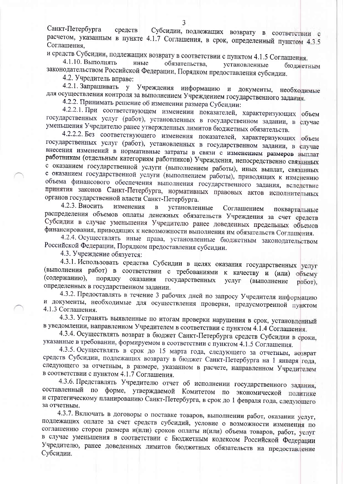и средств Субсидии, подлежащих возврату в соответствии с пунктом 4.1.5 Соглашения.

4.1.10. Выполнять иные обязательства, установленные бюджетным законодательством Российской Федерации, Порядком предоставления субсидии.

4.2. Учредитель вправе:

4.2.1. Запрашивать у Учреждения информацию и документы, необходимые для осуществления контроля за выполнением Учреждением государственного задания.

4.2.2. Принимать решение об изменении размера Субсидии:

4.2.2.1. При соответствующем изменении показателей, характеризующих объем государственных услуг (работ), установленных в государственном задании, в случае уменьшения Учредителю ранее утвержденных лимитов бюджетных обязательств.

4.2.2.2. Без соответствующего изменения показателей, характеризующих объем государственных услуг (работ), установленных в государственном задании, в случае внесения изменений в нормативные затраты в связи с изменением размеров выплат работникам (отдельным категориям работников) Учреждения, непосредственно связанных с оказанием государственной услуги (выполнением работы), иных выплат, связанных с оказанием государственной услуги (выполнением работы), приводящих к изменению объема финансового обеспечения выполнения государственного задания, вследствие принятия законов Санкт-Петербурга, нормативных правовых актов исполнительных органов государственной власти Санкт-Петербурга.

4.2.3. Вносить изменения  $\mathbf{B}$ установленные Соглашением поквартальные распределения объемов оплаты денежных обязательств Учреждения за счет средств Субсидии в случае уменьшения Учредителю ранее доведенных предельных объемов финансирования, приводящих к невозможности выполнения им обязательств Соглашения.

4.2.4. Осуществлять иные права, установленные бюджетным законодательством Российской Федерации, Порядком предоставления субсидии.

4.3. Учреждение обязуется:

4.3.1. Использовать средства Субсидии в целях оказания государственных услуг (выполнения работ) в соответствии с требованиями к качеству и (или) объему (содержанию), порядку оказания государственных услуг (выполнение работ). определенных в государственном задании.

4.3.2. Предоставлять в течение 3 рабочих дней по запросу Учредителя информацию и документы, необходимые для осуществления проверки, предусмотренной пунктом 4.1.3 Соглашения.

4.3.3. Устранять выявленные по итогам проверки нарушения в срок, установленный в уведомлении, направленном Учредителем в соответствии с пунктом 4.1.4 Соглашения.

4.3.4. Осуществлять возврат в бюджет Санкт-Петербурга средств Субсидии в сроки, указанные в требовании, формируемом в соответствии с пунктом 4.1.5 Соглашения.

4.3.5. Осуществлять в срок до 15 марта года, следующего за отчетным, возврат средств Субсидии, подлежащих возврату в бюджет Санкт-Петербурга на 1 января года, следующего за отчетным, в размере, указанном в расчете, направленном Учредителем в соответствии с пунктом 4.1.7 Соглашения.

4.3.6. Представлять Учредителю отчет об исполнении государственного задания, составленный по форме, утверждаемой Комитетом по экономической политике и стратегическому планированию Санкт-Петербурга, в срок до 1 февраля года, следующего за отчетным.

4.3.7. Включать в договоры о поставке товаров, выполнении работ, оказании услуг, подлежащих оплате за счет средств субсидий, условие о возможности изменения по соглашению сторон размера и(или) сроков оплаты и(или) объема товаров, работ, услуг в случае уменьшения в соответствии с Бюджетным кодексом Российской Федерации Учредителю, ранее доведенных лимитов бюджетных обязательств на предоставление Субсидии.